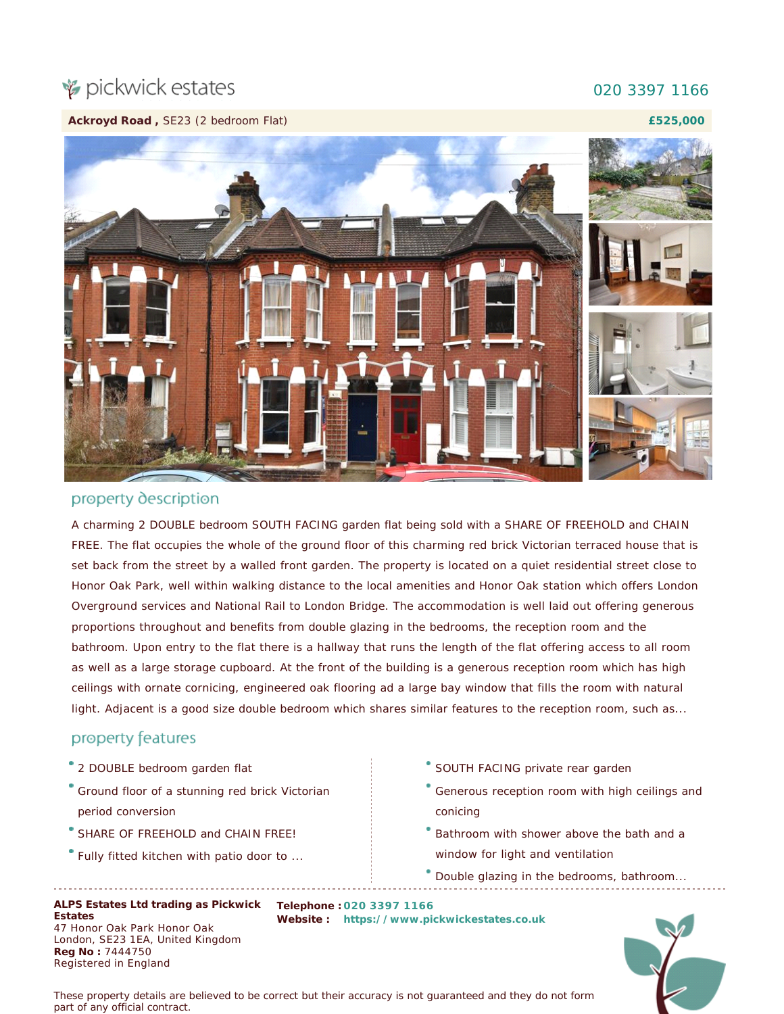## pickwick estates

## 020 3397 1166

**£525,000**

**Ackroyd Road ,** SE23 (2 bedroom Flat)



## property description

A charming 2 DOUBLE bedroom SOUTH FACING garden flat being sold with a SHARE OF FREEHOLD and CHAIN FREE. The flat occupies the whole of the ground floor of this charming red brick Victorian terraced house that is set back from the street by a walled front garden. The property is located on a quiet residential street close to Honor Oak Park, well within walking distance to the local amenities and Honor Oak station which offers London Overground services and National Rail to London Bridge. The accommodation is well laid out offering generous proportions throughout and benefits from double glazing in the bedrooms, the reception room and the bathroom. Upon entry to the flat there is a hallway that runs the length of the flat offering access to all room as well as a large storage cupboard. At the front of the building is a generous reception room which has high ceilings with ornate cornicing, engineered oak flooring ad a large bay window that fills the room with natural light. Adjacent is a good size double bedroom which shares similar features to the reception room, such as...

## property features

- 2 DOUBLE bedroom garden flat
- Ground floor of a stunning red brick Victorian period conversion
- SHARE OF FREEHOLD and CHAIN FREE!
- Fully fitted kitchen with patio door to ...
- SOUTH FACING private rear garden
- Generous reception room with high ceilings and conicing
- Bathroom with shower above the bath and a window for light and ventilation
- Double glazing in the bedrooms, bathroom...

 $\overline{a}$ 

**ALPS Estates Ltd trading as Pickwick Telephone : 020 3397 1166 Estates** 47 Honor Oak Park Honor Oak London, SE23 1EA, United Kingdom **Reg No :** 7444750 Registered in England

**Website : [https://www.pickwickestates.co.uk](https://www.pickwickestates.co.uk/)**

*These property details are believed to be correct but their accuracy is not guaranteed and they do not form part of any official contract.*